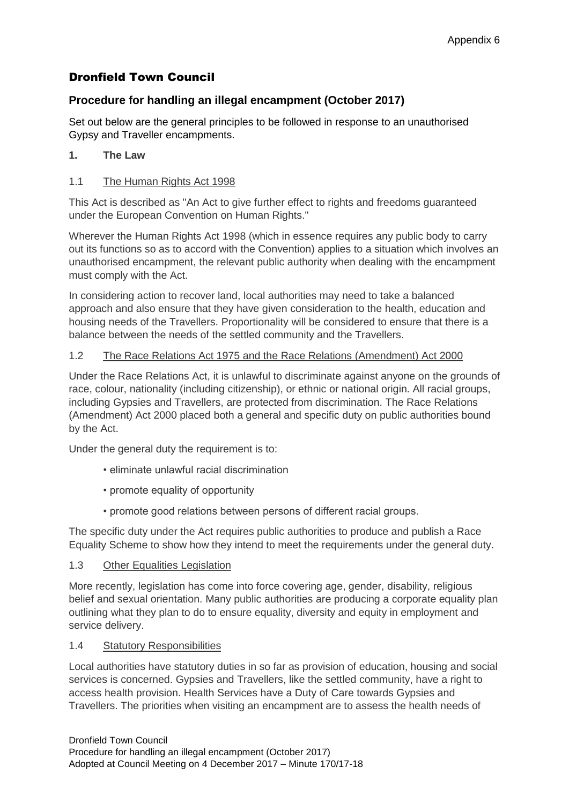# Dronfield Town Council

# **Procedure for handling an illegal encampment (October 2017)**

Set out below are the general principles to be followed in response to an unauthorised Gypsy and Traveller encampments.

# **1. The Law**

#### 1.1 The Human Rights Act 1998

This Act is described as "An Act to give further effect to rights and freedoms guaranteed under the European Convention on Human Rights."

Wherever the Human Rights Act 1998 (which in essence requires any public body to carry out its functions so as to accord with the Convention) applies to a situation which involves an unauthorised encampment, the relevant public authority when dealing with the encampment must comply with the Act.

In considering action to recover land, local authorities may need to take a balanced approach and also ensure that they have given consideration to the health, education and housing needs of the Travellers. Proportionality will be considered to ensure that there is a balance between the needs of the settled community and the Travellers.

# 1.2 The Race Relations Act 1975 and the Race Relations (Amendment) Act 2000

Under the Race Relations Act, it is unlawful to discriminate against anyone on the grounds of race, colour, nationality (including citizenship), or ethnic or national origin. All racial groups, including Gypsies and Travellers, are protected from discrimination. The Race Relations (Amendment) Act 2000 placed both a general and specific duty on public authorities bound by the Act.

Under the general duty the requirement is to:

- eliminate unlawful racial discrimination
- promote equality of opportunity
- promote good relations between persons of different racial groups.

The specific duty under the Act requires public authorities to produce and publish a Race Equality Scheme to show how they intend to meet the requirements under the general duty.

#### 1.3 Other Equalities Legislation

More recently, legislation has come into force covering age, gender, disability, religious belief and sexual orientation. Many public authorities are producing a corporate equality plan outlining what they plan to do to ensure equality, diversity and equity in employment and service delivery.

#### 1.4 Statutory Responsibilities

Local authorities have statutory duties in so far as provision of education, housing and social services is concerned. Gypsies and Travellers, like the settled community, have a right to access health provision. Health Services have a Duty of Care towards Gypsies and Travellers. The priorities when visiting an encampment are to assess the health needs of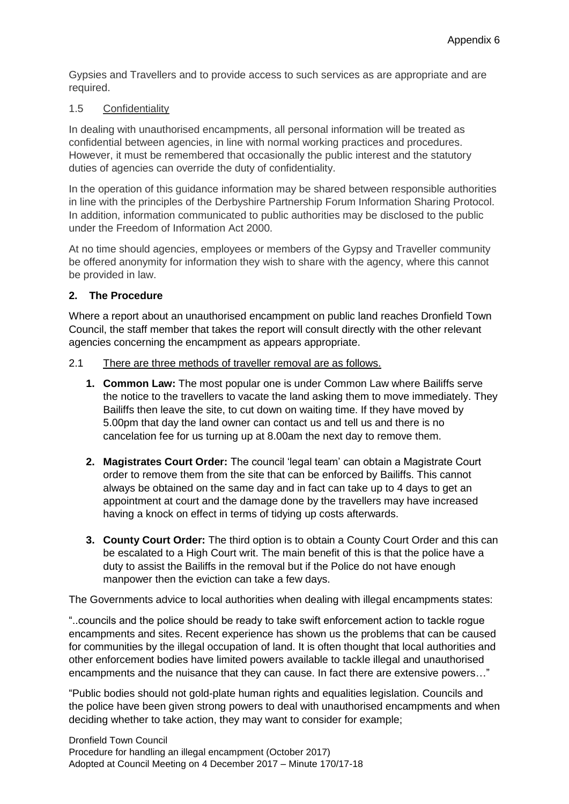Gypsies and Travellers and to provide access to such services as are appropriate and are required.

#### 1.5 Confidentiality

In dealing with unauthorised encampments, all personal information will be treated as confidential between agencies, in line with normal working practices and procedures. However, it must be remembered that occasionally the public interest and the statutory duties of agencies can override the duty of confidentiality.

In the operation of this guidance information may be shared between responsible authorities in line with the principles of the Derbyshire Partnership Forum Information Sharing Protocol. In addition, information communicated to public authorities may be disclosed to the public under the Freedom of Information Act 2000.

At no time should agencies, employees or members of the Gypsy and Traveller community be offered anonymity for information they wish to share with the agency, where this cannot be provided in law.

# **2. The Procedure**

Where a report about an unauthorised encampment on public land reaches Dronfield Town Council, the staff member that takes the report will consult directly with the other relevant agencies concerning the encampment as appears appropriate.

#### 2.1 There are three methods of traveller removal are as follows.

- **1. Common Law:** The most popular one is under Common Law where Bailiffs serve the notice to the travellers to vacate the land asking them to move immediately. They Bailiffs then leave the site, to cut down on waiting time. If they have moved by 5.00pm that day the land owner can contact us and tell us and there is no cancelation fee for us turning up at 8.00am the next day to remove them.
- **2. Magistrates Court Order:** The council 'legal team' can obtain a Magistrate Court order to remove them from the site that can be enforced by Bailiffs. This cannot always be obtained on the same day and in fact can take up to 4 days to get an appointment at court and the damage done by the travellers may have increased having a knock on effect in terms of tidying up costs afterwards.
- **3. County Court Order:** The third option is to obtain a County Court Order and this can be escalated to a High Court writ. The main benefit of this is that the police have a duty to assist the Bailiffs in the removal but if the Police do not have enough manpower then the eviction can take a few days.

The Governments advice to local authorities when dealing with illegal encampments states:

"..councils and the police should be ready to take swift enforcement action to tackle rogue encampments and sites. Recent experience has shown us the problems that can be caused for communities by the illegal occupation of land. It is often thought that local authorities and other enforcement bodies have limited powers available to tackle illegal and unauthorised encampments and the nuisance that they can cause. In fact there are extensive powers…"

"Public bodies should not gold-plate human rights and equalities legislation. Councils and the police have been given strong powers to deal with unauthorised encampments and when deciding whether to take action, they may want to consider for example;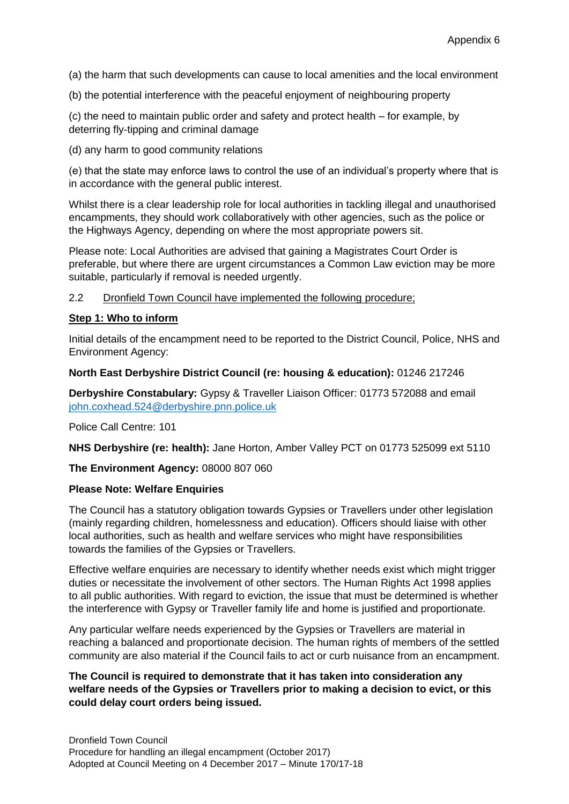(a) the harm that such developments can cause to local amenities and the local environment

(b) the potential interference with the peaceful enjoyment of neighbouring property

(c) the need to maintain public order and safety and protect health – for example, by deterring fly-tipping and criminal damage

(d) any harm to good community relations

(e) that the state may enforce laws to control the use of an individual's property where that is in accordance with the general public interest.

Whilst there is a clear leadership role for local authorities in tackling illegal and unauthorised encampments, they should work collaboratively with other agencies, such as the police or the Highways Agency, depending on where the most appropriate powers sit.

Please note: Local Authorities are advised that gaining a Magistrates Court Order is preferable, but where there are urgent circumstances a Common Law eviction may be more suitable, particularly if removal is needed urgently.

2.2 Dronfield Town Council have implemented the following procedure;

#### **Step 1: Who to inform**

Initial details of the encampment need to be reported to the District Council, Police, NHS and Environment Agency:

#### **North East Derbyshire District Council (re: housing & education):** 01246 217246

**Derbyshire Constabulary:** Gypsy & Traveller Liaison Officer: 01773 572088 and email [john.coxhead.524@derbyshire.pnn.police.uk](mailto:john.coxhead.524@derbyshire.pnn.police.uk)

Police Call Centre: 101

**NHS Derbyshire (re: health):** Jane Horton, Amber Valley PCT on 01773 525099 ext 5110

**The Environment Agency:** 08000 807 060

#### **Please Note: Welfare Enquiries**

The Council has a statutory obligation towards Gypsies or Travellers under other legislation (mainly regarding children, homelessness and education). Officers should liaise with other local authorities, such as health and welfare services who might have responsibilities towards the families of the Gypsies or Travellers.

Effective welfare enquiries are necessary to identify whether needs exist which might trigger duties or necessitate the involvement of other sectors. The Human Rights Act 1998 applies to all public authorities. With regard to eviction, the issue that must be determined is whether the interference with Gypsy or Traveller family life and home is justified and proportionate.

Any particular welfare needs experienced by the Gypsies or Travellers are material in reaching a balanced and proportionate decision. The human rights of members of the settled community are also material if the Council fails to act or curb nuisance from an encampment.

### **The Council is required to demonstrate that it has taken into consideration any welfare needs of the Gypsies or Travellers prior to making a decision to evict, or this could delay court orders being issued.**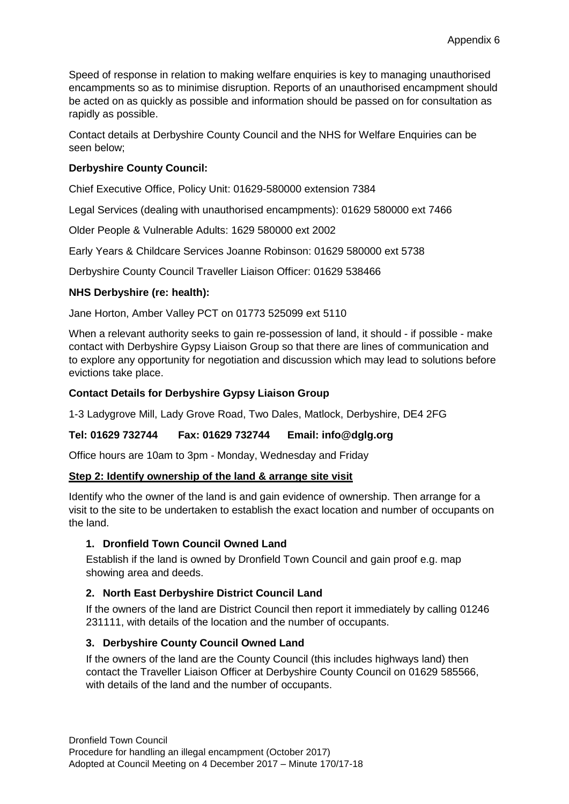Speed of response in relation to making welfare enquiries is key to managing unauthorised encampments so as to minimise disruption. Reports of an unauthorised encampment should be acted on as quickly as possible and information should be passed on for consultation as rapidly as possible.

Contact details at Derbyshire County Council and the NHS for Welfare Enquiries can be seen below;

# **Derbyshire County Council:**

Chief Executive Office, Policy Unit: 01629-580000 extension 7384

Legal Services (dealing with unauthorised encampments): 01629 580000 ext 7466

Older People & Vulnerable Adults: 1629 580000 ext 2002

Early Years & Childcare Services Joanne Robinson: 01629 580000 ext 5738

Derbyshire County Council Traveller Liaison Officer: 01629 538466

# **NHS Derbyshire (re: health):**

Jane Horton, Amber Valley PCT on 01773 525099 ext 5110

When a relevant authority seeks to gain re-possession of land, it should - if possible - make contact with Derbyshire Gypsy Liaison Group so that there are lines of communication and to explore any opportunity for negotiation and discussion which may lead to solutions before evictions take place.

# **Contact Details for Derbyshire Gypsy Liaison Group**

1-3 Ladygrove Mill, Lady Grove Road, Two Dales, Matlock, Derbyshire, DE4 2FG

# **Tel: 01629 732744 Fax: 01629 732744 Email: info@dglg.org**

Office hours are 10am to 3pm - Monday, Wednesday and Friday

#### **Step 2: Identify ownership of the land & arrange site visit**

Identify who the owner of the land is and gain evidence of ownership. Then arrange for a visit to the site to be undertaken to establish the exact location and number of occupants on the land.

#### **1. Dronfield Town Council Owned Land**

Establish if the land is owned by Dronfield Town Council and gain proof e.g. map showing area and deeds.

#### **2. North East Derbyshire District Council Land**

If the owners of the land are District Council then report it immediately by calling 01246 231111, with details of the location and the number of occupants.

# **3. Derbyshire County Council Owned Land**

If the owners of the land are the County Council (this includes highways land) then contact the Traveller Liaison Officer at Derbyshire County Council on 01629 585566, with details of the land and the number of occupants.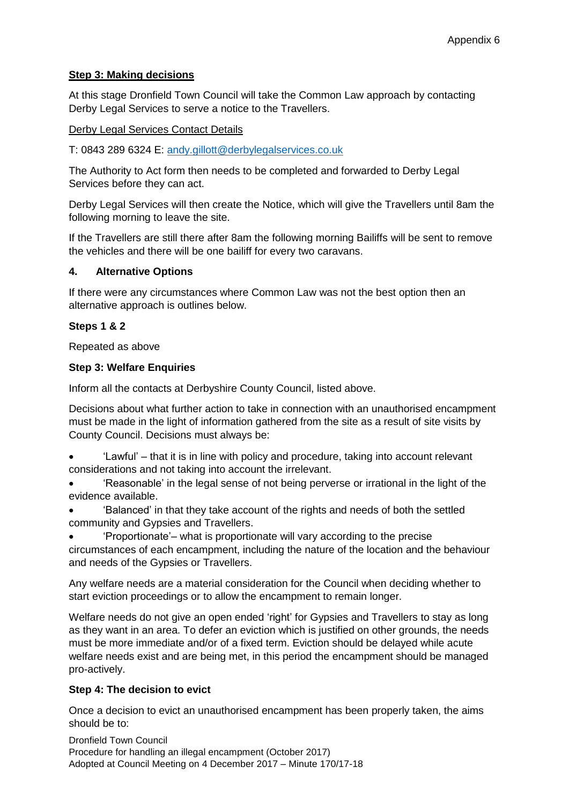# **Step 3: Making decisions**

At this stage Dronfield Town Council will take the Common Law approach by contacting Derby Legal Services to serve a notice to the Travellers.

#### Derby Legal Services Contact Details

T: 0843 289 6324 E: [andy.gillott@derbylegalservices.co.uk](mailto:andy.gillott@derbylegalservices.co.uk)

The Authority to Act form then needs to be completed and forwarded to Derby Legal Services before they can act.

Derby Legal Services will then create the Notice, which will give the Travellers until 8am the following morning to leave the site.

If the Travellers are still there after 8am the following morning Bailiffs will be sent to remove the vehicles and there will be one bailiff for every two caravans.

#### **4. Alternative Options**

If there were any circumstances where Common Law was not the best option then an alternative approach is outlines below.

#### **Steps 1 & 2**

Repeated as above

#### **Step 3: Welfare Enquiries**

Inform all the contacts at Derbyshire County Council, listed above.

Decisions about what further action to take in connection with an unauthorised encampment must be made in the light of information gathered from the site as a result of site visits by County Council. Decisions must always be:

- 'Lawful' that it is in line with policy and procedure, taking into account relevant considerations and not taking into account the irrelevant.
- 'Reasonable' in the legal sense of not being perverse or irrational in the light of the evidence available.
- 'Balanced' in that they take account of the rights and needs of both the settled community and Gypsies and Travellers.
- 'Proportionate'– what is proportionate will vary according to the precise

circumstances of each encampment, including the nature of the location and the behaviour and needs of the Gypsies or Travellers.

Any welfare needs are a material consideration for the Council when deciding whether to start eviction proceedings or to allow the encampment to remain longer.

Welfare needs do not give an open ended 'right' for Gypsies and Travellers to stay as long as they want in an area. To defer an eviction which is justified on other grounds, the needs must be more immediate and/or of a fixed term. Eviction should be delayed while acute welfare needs exist and are being met, in this period the encampment should be managed pro-actively.

#### **Step 4: The decision to evict**

Once a decision to evict an unauthorised encampment has been properly taken, the aims should be to:

Dronfield Town Council Procedure for handling an illegal encampment (October 2017) Adopted at Council Meeting on 4 December 2017 – Minute 170/17-18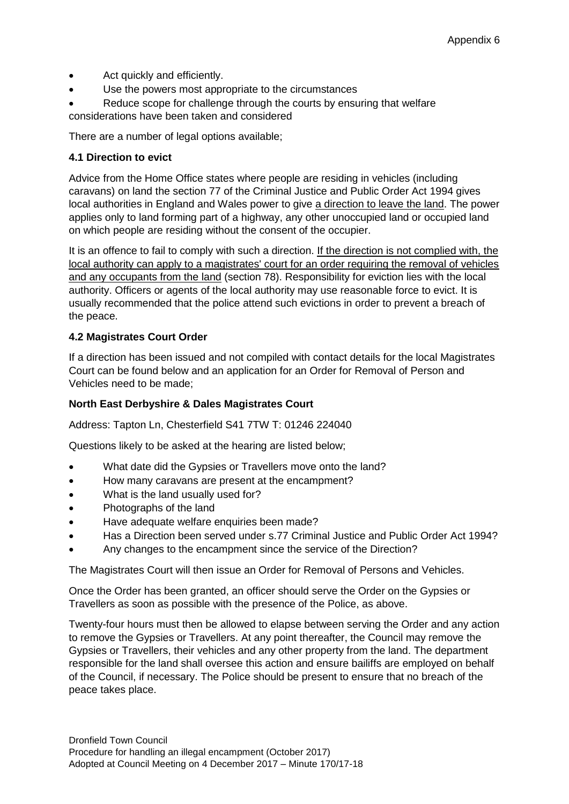- Act quickly and efficiently.
- Use the powers most appropriate to the circumstances
- Reduce scope for challenge through the courts by ensuring that welfare considerations have been taken and considered

There are a number of legal options available;

# **4.1 Direction to evict**

Advice from the Home Office states where people are residing in vehicles (including caravans) on land the section 77 of the Criminal Justice and Public Order Act 1994 gives local authorities in England and Wales power to give a direction to leave the land. The power applies only to land forming part of a highway, any other unoccupied land or occupied land on which people are residing without the consent of the occupier.

It is an offence to fail to comply with such a direction. If the direction is not complied with, the local authority can apply to a magistrates' court for an order requiring the removal of vehicles and any occupants from the land (section 78). Responsibility for eviction lies with the local authority. Officers or agents of the local authority may use reasonable force to evict. It is usually recommended that the police attend such evictions in order to prevent a breach of the peace.

#### **4.2 Magistrates Court Order**

If a direction has been issued and not compiled with contact details for the local Magistrates Court can be found below and an application for an Order for Removal of Person and Vehicles need to be made;

# **North East Derbyshire & Dales Magistrates Court**

Address: Tapton Ln, Chesterfield S41 7TW T: 01246 224040

Questions likely to be asked at the hearing are listed below;

- What date did the Gypsies or Travellers move onto the land?
- How many caravans are present at the encampment?
- What is the land usually used for?
- Photographs of the land
- Have adequate welfare enquiries been made?
- Has a Direction been served under s.77 Criminal Justice and Public Order Act 1994?
- Any changes to the encampment since the service of the Direction?

The Magistrates Court will then issue an Order for Removal of Persons and Vehicles.

Once the Order has been granted, an officer should serve the Order on the Gypsies or Travellers as soon as possible with the presence of the Police, as above.

Twenty-four hours must then be allowed to elapse between serving the Order and any action to remove the Gypsies or Travellers. At any point thereafter, the Council may remove the Gypsies or Travellers, their vehicles and any other property from the land. The department responsible for the land shall oversee this action and ensure bailiffs are employed on behalf of the Council, if necessary. The Police should be present to ensure that no breach of the peace takes place.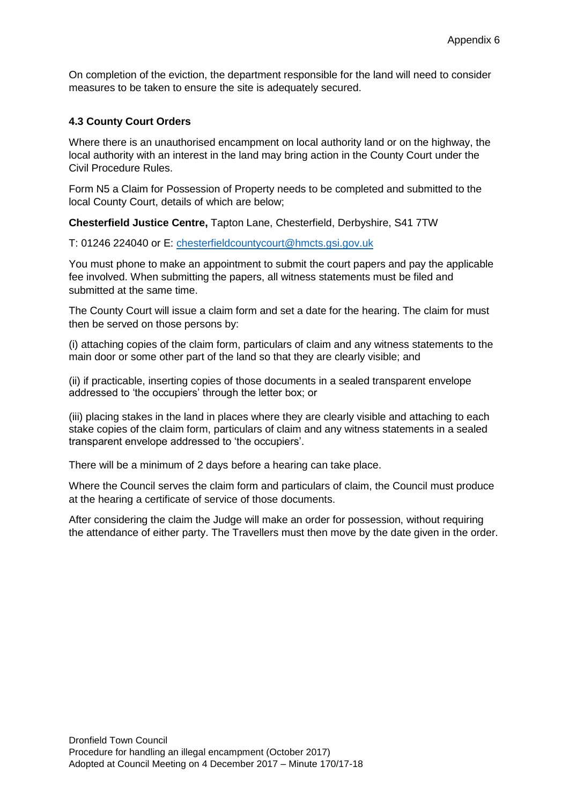On completion of the eviction, the department responsible for the land will need to consider measures to be taken to ensure the site is adequately secured.

#### **4.3 County Court Orders**

Where there is an unauthorised encampment on local authority land or on the highway, the local authority with an interest in the land may bring action in the County Court under the Civil Procedure Rules.

Form N5 a Claim for Possession of Property needs to be completed and submitted to the local County Court, details of which are below;

**Chesterfield Justice Centre,** Tapton Lane, Chesterfield, Derbyshire, S41 7TW

T: 01246 224040 or E: [chesterfieldcountycourt@hmcts.gsi.gov.uk](mailto:chesterfieldcountycourt@hmcts.gsi.gov.uk)

You must phone to make an appointment to submit the court papers and pay the applicable fee involved. When submitting the papers, all witness statements must be filed and submitted at the same time.

The County Court will issue a claim form and set a date for the hearing. The claim for must then be served on those persons by:

(i) attaching copies of the claim form, particulars of claim and any witness statements to the main door or some other part of the land so that they are clearly visible; and

(ii) if practicable, inserting copies of those documents in a sealed transparent envelope addressed to 'the occupiers' through the letter box; or

(iii) placing stakes in the land in places where they are clearly visible and attaching to each stake copies of the claim form, particulars of claim and any witness statements in a sealed transparent envelope addressed to 'the occupiers'.

There will be a minimum of 2 days before a hearing can take place.

Where the Council serves the claim form and particulars of claim, the Council must produce at the hearing a certificate of service of those documents.

After considering the claim the Judge will make an order for possession, without requiring the attendance of either party. The Travellers must then move by the date given in the order.